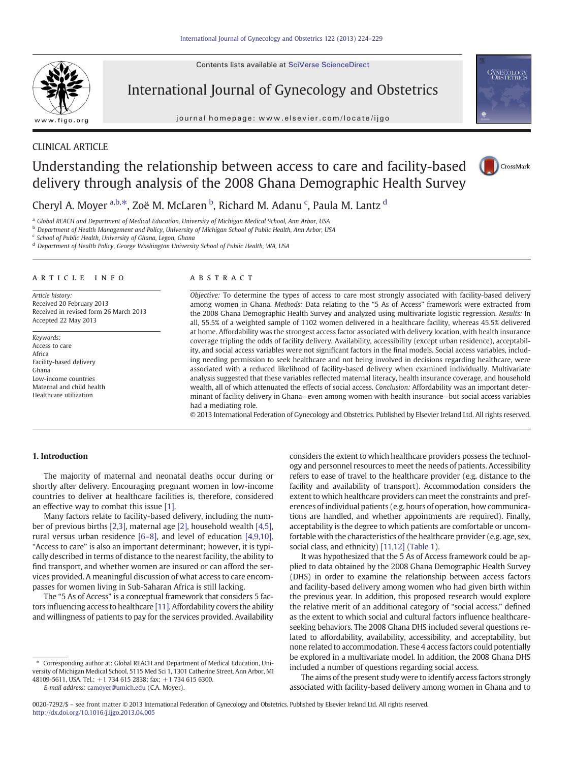Contents lists available at SciVerse ScienceDirect



International Journal of Gynecology and Obstetrics

journal homepage: www.elsevier.com/locate/ijgo



# CLINICAL ARTICLE

# Understanding the relationship between access to care and facility-based delivery through analysis of the 2008 Ghana Demographic Health Survey



Cheryl A. Moyer <sup>a,b,\*</sup>, Zoë M. McLaren <sup>b</sup>, Richard M. Adanu <sup>c</sup>, Paula M. Lantz <sup>d</sup>

<sup>a</sup> Global REACH and Department of Medical Education, University of Michigan Medical School, Ann Arbor, USA

<sup>b</sup> Department of Health Management and Policy, University of Michigan School of Public Health, Ann Arbor, USA

<sup>c</sup> School of Public Health, University of Ghana, Legon, Ghana

<sup>d</sup> Department of Health Policy, George Washington University School of Public Health, WA, USA

# article info abstract

Article history: Received 20 February 2013 Received in revised form 26 March 2013 Accepted 22 May 2013

Keywords: Access to care Africa Facility-based delivery Ghana Low-income countries Maternal and child health Healthcare utilization

Objective: To determine the types of access to care most strongly associated with facility-based delivery among women in Ghana. Methods: Data relating to the "5 As of Access" framework were extracted from the 2008 Ghana Demographic Health Survey and analyzed using multivariate logistic regression. Results: In all, 55.5% of a weighted sample of 1102 women delivered in a healthcare facility, whereas 45.5% delivered at home. Affordability was the strongest access factor associated with delivery location, with health insurance coverage tripling the odds of facility delivery. Availability, accessibility (except urban residence), acceptability, and social access variables were not significant factors in the final models. Social access variables, including needing permission to seek healthcare and not being involved in decisions regarding healthcare, were associated with a reduced likelihood of facility-based delivery when examined individually. Multivariate analysis suggested that these variables reflected maternal literacy, health insurance coverage, and household wealth, all of which attenuated the effects of social access. Conclusion: Affordability was an important determinant of facility delivery in Ghana—even among women with health insurance—but social access variables had a mediating role.

© 2013 International Federation of Gynecology and Obstetrics. Published by Elsevier Ireland Ltd. All rights reserved.

# 1. Introduction

The majority of maternal and neonatal deaths occur during or shortly after delivery. Encouraging pregnant women in low-income countries to deliver at healthcare facilities is, therefore, considered an effective way to combat this issue [\[1\]](#page-5-0).

Many factors relate to facility-based delivery, including the number of previous births [\[2,3\],](#page-5-0) maternal age [\[2\],](#page-5-0) household wealth [\[4,5\],](#page-5-0) rural versus urban residence [\[6](#page-5-0)–8], and level of education [\[4,9,10\].](#page-5-0) "Access to care" is also an important determinant; however, it is typically described in terms of distance to the nearest facility, the ability to find transport, and whether women are insured or can afford the services provided. A meaningful discussion of what access to care encompasses for women living in Sub-Saharan Africa is still lacking.

The "5 As of Access" is a conceptual framework that considers 5 factors influencing access to healthcare [\[11\].](#page-5-0) Affordability covers the ability and willingness of patients to pay for the services provided. Availability

E-mail address: [camoyer@umich.edu](mailto:camoyer@umich.edu) (C.A. Moyer).

considers the extent to which healthcare providers possess the technology and personnel resources to meet the needs of patients. Accessibility refers to ease of travel to the healthcare provider (e.g. distance to the facility and availability of transport). Accommodation considers the extent to which healthcare providers can meet the constraints and preferences of individual patients (e.g. hours of operation, how communications are handled, and whether appointments are required). Finally, acceptability is the degree to which patients are comfortable or uncomfortable with the characteristics of the healthcare provider (e.g. age, sex, social class, and ethnicity) [\[11,12\]](#page-5-0) [\(Table 1\)](#page-1-0).

It was hypothesized that the 5 As of Access framework could be applied to data obtained by the 2008 Ghana Demographic Health Survey (DHS) in order to examine the relationship between access factors and facility-based delivery among women who had given birth within the previous year. In addition, this proposed research would explore the relative merit of an additional category of "social access," defined as the extent to which social and cultural factors influence healthcareseeking behaviors. The 2008 Ghana DHS included several questions related to affordability, availability, accessibility, and acceptability, but none related to accommodation. These 4 access factors could potentially be explored in a multivariate model. In addition, the 2008 Ghana DHS included a number of questions regarding social access.

The aims of the present study were to identify access factors strongly associated with facility-based delivery among women in Ghana and to

<sup>⁎</sup> Corresponding author at: Global REACH and Department of Medical Education, University of Michigan Medical School, 5115 Med Sci 1, 1301 Catherine Street, Ann Arbor, MI 48109-5611, USA. Tel.: +1 734 615 2838; fax: +1 734 615 6300.

<sup>0020-7292/\$</sup> – see front matter © 2013 International Federation of Gynecology and Obstetrics. Published by Elsevier Ireland Ltd. All rights reserved. <http://dx.doi.org/10.1016/j.ijgo.2013.04.005>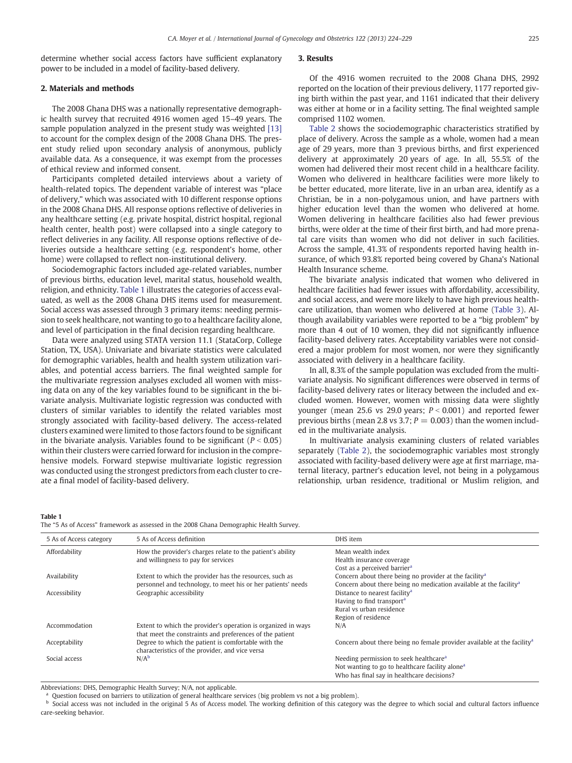<span id="page-1-0"></span>determine whether social access factors have sufficient explanatory power to be included in a model of facility-based delivery.

## 2. Materials and methods

The 2008 Ghana DHS was a nationally representative demographic health survey that recruited 4916 women aged 15–49 years. The sample population analyzed in the present study was weighted [\[13\]](#page-5-0) to account for the complex design of the 2008 Ghana DHS. The present study relied upon secondary analysis of anonymous, publicly available data. As a consequence, it was exempt from the processes of ethical review and informed consent.

Participants completed detailed interviews about a variety of health-related topics. The dependent variable of interest was "place of delivery," which was associated with 10 different response options in the 2008 Ghana DHS. All response options reflective of deliveries in any healthcare setting (e.g. private hospital, district hospital, regional health center, health post) were collapsed into a single category to reflect deliveries in any facility. All response options reflective of deliveries outside a healthcare setting (e.g. respondent's home, other home) were collapsed to reflect non-institutional delivery.

Sociodemographic factors included age-related variables, number of previous births, education level, marital status, household wealth, religion, and ethnicity. Table 1 illustrates the categories of access evaluated, as well as the 2008 Ghana DHS items used for measurement. Social access was assessed through 3 primary items: needing permission to seek healthcare, not wanting to go to a healthcare facility alone, and level of participation in the final decision regarding healthcare.

Data were analyzed using STATA version 11.1 (StataCorp, College Station, TX, USA). Univariate and bivariate statistics were calculated for demographic variables, health and health system utilization variables, and potential access barriers. The final weighted sample for the multivariate regression analyses excluded all women with missing data on any of the key variables found to be significant in the bivariate analysis. Multivariate logistic regression was conducted with clusters of similar variables to identify the related variables most strongly associated with facility-based delivery. The access-related clusters examined were limited to those factors found to be significant in the bivariate analysis. Variables found to be significant ( $P < 0.05$ ) within their clusters were carried forward for inclusion in the comprehensive models. Forward stepwise multivariate logistic regression was conducted using the strongest predictors from each cluster to create a final model of facility-based delivery.

# 3. Results

Of the 4916 women recruited to the 2008 Ghana DHS, 2992 reported on the location of their previous delivery, 1177 reported giving birth within the past year, and 1161 indicated that their delivery was either at home or in a facility setting. The final weighted sample comprised 1102 women.

[Table 2](#page-2-0) shows the sociodemographic characteristics stratified by place of delivery. Across the sample as a whole, women had a mean age of 29 years, more than 3 previous births, and first experienced delivery at approximately 20 years of age. In all, 55.5% of the women had delivered their most recent child in a healthcare facility. Women who delivered in healthcare facilities were more likely to be better educated, more literate, live in an urban area, identify as a Christian, be in a non-polygamous union, and have partners with higher education level than the women who delivered at home. Women delivering in healthcare facilities also had fewer previous births, were older at the time of their first birth, and had more prenatal care visits than women who did not deliver in such facilities. Across the sample, 41.3% of respondents reported having health insurance, of which 93.8% reported being covered by Ghana's National Health Insurance scheme.

The bivariate analysis indicated that women who delivered in healthcare facilities had fewer issues with affordability, accessibility, and social access, and were more likely to have high previous healthcare utilization, than women who delivered at home [\(Table 3](#page-3-0)). Although availability variables were reported to be a "big problem" by more than 4 out of 10 women, they did not significantly influence facility-based delivery rates. Acceptability variables were not considered a major problem for most women, nor were they significantly associated with delivery in a healthcare facility.

In all, 8.3% of the sample population was excluded from the multivariate analysis. No significant differences were observed in terms of facility-based delivery rates or literacy between the included and excluded women. However, women with missing data were slightly younger (mean 25.6 vs 29.0 years;  $P < 0.001$ ) and reported fewer previous births (mean 2.8 vs 3.7;  $P = 0.003$ ) than the women included in the multivariate analysis.

In multivariate analysis examining clusters of related variables separately ([Table 2\)](#page-2-0), the sociodemographic variables most strongly associated with facility-based delivery were age at first marriage, maternal literacy, partner's education level, not being in a polygamous relationship, urban residence, traditional or Muslim religion, and

#### Table 1

The "5 As of Access" framework as assessed in the 2008 Ghana Demographic Health Survey.

| 5 As of Access category | 5 As of Access definition                                     | DHS item                                                                            |
|-------------------------|---------------------------------------------------------------|-------------------------------------------------------------------------------------|
| Affordability           | How the provider's charges relate to the patient's ability    | Mean wealth index                                                                   |
|                         | and willingness to pay for services                           | Health insurance coverage                                                           |
|                         |                                                               | Cost as a perceived barrier <sup>a</sup>                                            |
| Availability            | Extent to which the provider has the resources, such as       | Concern about there being no provider at the facility <sup>a</sup>                  |
|                         | personnel and technology, to meet his or her patients' needs  | Concern about there being no medication available at the facility <sup>a</sup>      |
| Accessibility           | Geographic accessibility                                      | Distance to nearest facility <sup>a</sup>                                           |
|                         |                                                               | Having to find transport <sup>a</sup>                                               |
|                         |                                                               | Rural vs urban residence                                                            |
|                         |                                                               | Region of residence                                                                 |
| Accommodation           | Extent to which the provider's operation is organized in ways | N/A                                                                                 |
|                         | that meet the constraints and preferences of the patient      |                                                                                     |
| Acceptability           | Degree to which the patient is comfortable with the           | Concern about there being no female provider available at the facility <sup>a</sup> |
|                         | characteristics of the provider, and vice versa               |                                                                                     |
| Social access           | $N/A^b$                                                       | Needing permission to seek healthcare <sup>a</sup>                                  |
|                         |                                                               | Not wanting to go to healthcare facility alone <sup>a</sup>                         |
|                         |                                                               | Who has final say in healthcare decisions?                                          |

Abbreviations: DHS, Demographic Health Survey; N/A, not applicable.

Question focused on barriers to utilization of general healthcare services (big problem vs not a big problem).

**b** Social access was not included in the original 5 As of Access model. The working definition of this category was the degree to which social and cultural factors influence care-seeking behavior.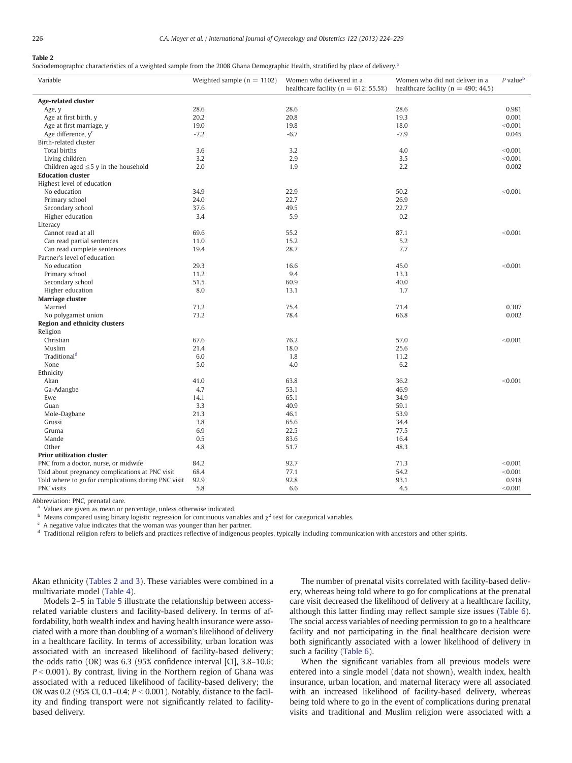# <span id="page-2-0"></span>Table 2

Sociodemographic characteristics of a weighted sample from the 2008 Ghana Demographic Health, stratified by place of delivery.<sup>a</sup>

| Variable                                            | Weighted sample ( $n = 1102$ ) | Women who delivered in a<br>healthcare facility ( $n = 612$ ; 55.5%) | Women who did not deliver in a<br>healthcare facility ( $n = 490$ ; 44.5) | $P$ value $\mathsf{b}$ |  |
|-----------------------------------------------------|--------------------------------|----------------------------------------------------------------------|---------------------------------------------------------------------------|------------------------|--|
| Age-related cluster                                 |                                |                                                                      |                                                                           |                        |  |
| Age, y                                              | 28.6                           | 28.6                                                                 | 28.6                                                                      | 0.981                  |  |
| Age at first birth, y                               | 20.2                           | 20.8                                                                 | 19.3                                                                      | 0.001                  |  |
| Age at first marriage, y                            | 19.0                           | 19.8                                                                 | 18.0                                                                      | < 0.001                |  |
| Age difference, y <sup>c</sup>                      | $-7.2$                         | $-6.7$                                                               | $-7.9$                                                                    | 0.045                  |  |
| Birth-related cluster                               |                                |                                                                      |                                                                           |                        |  |
| Total births                                        | 3.6                            | 3.2                                                                  | 4.0                                                                       | < 0.001                |  |
| Living children                                     | 3.2                            | 2.9                                                                  | 3.5                                                                       | < 0.001                |  |
| Children aged $\leq$ 5 y in the household           | 2.0                            | 1.9                                                                  | 2.2                                                                       | 0.002                  |  |
| <b>Education cluster</b>                            |                                |                                                                      |                                                                           |                        |  |
| Highest level of education                          |                                |                                                                      |                                                                           |                        |  |
| No education                                        | 34.9                           | 22.9                                                                 | 50.2                                                                      | < 0.001                |  |
| Primary school                                      | 24.0                           | 22.7                                                                 | 26.9                                                                      |                        |  |
| Secondary school                                    | 37.6                           | 49.5                                                                 | 22.7                                                                      |                        |  |
| Higher education                                    | 3.4                            | 5.9                                                                  | 0.2                                                                       |                        |  |
| Literacy                                            |                                |                                                                      |                                                                           |                        |  |
| Cannot read at all                                  | 69.6                           | 55.2                                                                 | 87.1                                                                      | < 0.001                |  |
| Can read partial sentences                          | 11.0                           | 15.2                                                                 | 5.2                                                                       |                        |  |
| Can read complete sentences                         | 19.4                           | 28.7                                                                 | 7.7                                                                       |                        |  |
| Partner's level of education                        |                                |                                                                      |                                                                           |                        |  |
| No education                                        | 29.3                           | 16.6                                                                 | 45.0                                                                      | < 0.001                |  |
|                                                     | 11.2                           | 9.4                                                                  | 13.3                                                                      |                        |  |
| Primary school                                      | 51.5                           | 60.9                                                                 | 40.0                                                                      |                        |  |
| Secondary school                                    | 8.0                            |                                                                      |                                                                           |                        |  |
| Higher education                                    |                                | 13.1                                                                 | 1.7                                                                       |                        |  |
| Marriage cluster                                    |                                |                                                                      | 71.4                                                                      | 0.307                  |  |
| Married                                             | 73.2                           | 75.4                                                                 |                                                                           |                        |  |
| No polygamist union                                 | 73.2                           | 78.4                                                                 | 66.8                                                                      | 0.002                  |  |
| <b>Region and ethnicity clusters</b>                |                                |                                                                      |                                                                           |                        |  |
| Religion                                            |                                |                                                                      |                                                                           |                        |  |
| Christian                                           | 67.6                           | 76.2                                                                 | 57.0                                                                      | < 0.001                |  |
| Muslim                                              | 21.4                           | 18.0                                                                 | 25.6                                                                      |                        |  |
| Traditional <sup>d</sup>                            | 6.0                            | 1.8                                                                  | 11.2                                                                      |                        |  |
| None                                                | 5.0                            | 4.0                                                                  | 6.2                                                                       |                        |  |
| Ethnicity                                           |                                |                                                                      |                                                                           |                        |  |
| Akan                                                | 41.0                           | 63.8                                                                 | 36.2                                                                      | < 0.001                |  |
| Ga-Adangbe                                          | 4.7                            | 53.1                                                                 | 46.9                                                                      |                        |  |
| Ewe                                                 | 14.1                           | 65.1                                                                 | 34.9                                                                      |                        |  |
| Guan                                                | 3.3                            | 40.9                                                                 | 59.1                                                                      |                        |  |
| Mole-Dagbane                                        | 21.3                           | 46.1                                                                 | 53.9                                                                      |                        |  |
| Grussi                                              | 3.8                            | 65.6                                                                 | 34.4                                                                      |                        |  |
| Gruma                                               | 6.9                            | 22.5                                                                 | 77.5                                                                      |                        |  |
| Mande                                               | 0.5                            | 83.6                                                                 | 16.4                                                                      |                        |  |
| Other                                               | 4.8                            | 51.7                                                                 | 48.3                                                                      |                        |  |
| <b>Prior utilization cluster</b>                    |                                |                                                                      |                                                                           |                        |  |
| PNC from a doctor, nurse, or midwife                | 84.2                           | 92.7                                                                 | 71.3                                                                      | < 0.001                |  |
| Told about pregnancy complications at PNC visit     | 68.4                           | 77.1                                                                 | 54.2                                                                      | < 0.001                |  |
| Told where to go for complications during PNC visit | 92.9                           | 92.8                                                                 | 93.1                                                                      | 0.918                  |  |
| PNC visits                                          | 5.8                            | 6.6                                                                  | 4.5                                                                       | < 0.001                |  |

Abbreviation: PNC, prenatal care.

Values are given as mean or percentage, unless otherwise indicated.

b Means compared using binary logistic regression for continuous variables and  $\chi^2$  test for categorical variables.

 $c$  A negative value indicates that the woman was younger than her partner.

<sup>d</sup> Traditional religion refers to beliefs and practices reflective of indigenous peoples, typically including communication with ancestors and other spirits.

Akan ethnicity (Tables 2 and 3). These variables were combined in a multivariate model ([Table 4\)](#page-3-0).

Models 2–5 in [Table 5](#page-4-0) illustrate the relationship between accessrelated variable clusters and facility-based delivery. In terms of affordability, both wealth index and having health insurance were associated with a more than doubling of a woman's likelihood of delivery in a healthcare facility. In terms of accessibility, urban location was associated with an increased likelihood of facility-based delivery; the odds ratio (OR) was 6.3 (95% confidence interval [CI], 3.8–10.6;  $P < 0.001$ ). By contrast, living in the Northern region of Ghana was associated with a reduced likelihood of facility-based delivery; the OR was 0.2 (95% CI, 0.1–0.4;  $P < 0.001$ ). Notably, distance to the facility and finding transport were not significantly related to facilitybased delivery.

The number of prenatal visits correlated with facility-based delivery, whereas being told where to go for complications at the prenatal care visit decreased the likelihood of delivery at a healthcare facility, although this latter finding may reflect sample size issues ([Table 6](#page-4-0)). The social access variables of needing permission to go to a healthcare facility and not participating in the final healthcare decision were both significantly associated with a lower likelihood of delivery in such a facility ([Table 6](#page-4-0)).

When the significant variables from all previous models were entered into a single model (data not shown), wealth index, health insurance, urban location, and maternal literacy were all associated with an increased likelihood of facility-based delivery, whereas being told where to go in the event of complications during prenatal visits and traditional and Muslim religion were associated with a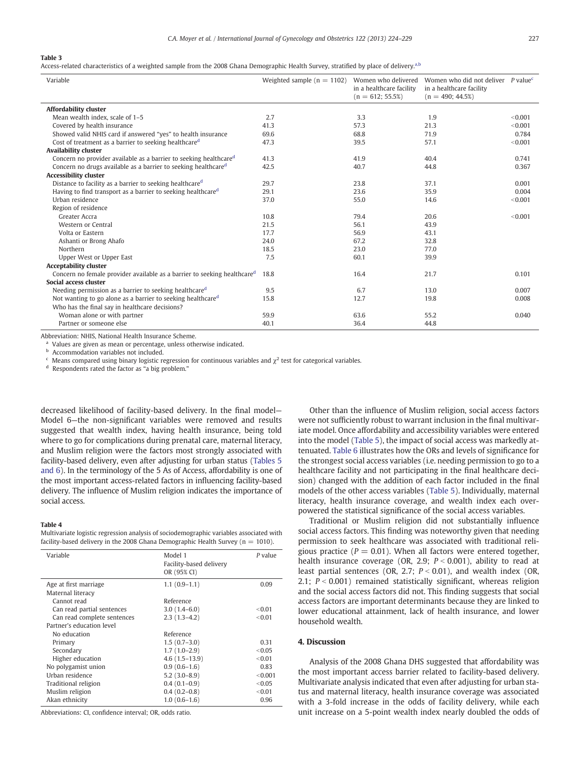#### <span id="page-3-0"></span>Table 3

Access-related characteristics of a weighted sample from the 2008 Ghana Demographic Health Survey, stratified by place of delivery.<sup>a,b</sup>

| Variable                                                                             | Weighted sample ( $n = 1102$ ) | Women who delivered<br>in a healthcare facility<br>$(n = 612; 55.5%)$ | Women who did not deliver $P$ value <sup>c</sup><br>in a healthcare facility<br>$(n = 490; 44.5%)$ |         |
|--------------------------------------------------------------------------------------|--------------------------------|-----------------------------------------------------------------------|----------------------------------------------------------------------------------------------------|---------|
| <b>Affordability cluster</b>                                                         |                                |                                                                       |                                                                                                    |         |
| Mean wealth index, scale of 1-5                                                      | 2.7                            | 3.3                                                                   | 1.9                                                                                                | < 0.001 |
| Covered by health insurance                                                          | 41.3                           | 57.3                                                                  | 21.3                                                                                               | < 0.001 |
| Showed valid NHIS card if answered "yes" to health insurance                         | 69.6                           | 68.8                                                                  | 71.9                                                                                               | 0.784   |
| Cost of treatment as a barrier to seeking healthcare <sup>d</sup>                    | 47.3                           | 39.5                                                                  | 57.1                                                                                               | < 0.001 |
| <b>Availability cluster</b>                                                          |                                |                                                                       |                                                                                                    |         |
| Concern no provider available as a barrier to seeking healthcare <sup>d</sup>        | 41.3                           | 41.9                                                                  | 40.4                                                                                               | 0.741   |
| Concern no drugs available as a barrier to seeking healthcare <sup>d</sup>           | 42.5                           | 40.7                                                                  | 44.8                                                                                               | 0.367   |
| <b>Accessibility cluster</b>                                                         |                                |                                                                       |                                                                                                    |         |
| Distance to facility as a barrier to seeking healthcare <sup>d</sup>                 | 29.7                           | 23.8                                                                  | 37.1                                                                                               | 0.001   |
| Having to find transport as a barrier to seeking healthcare <sup>d</sup>             | 29.1                           | 23.6                                                                  | 35.9                                                                                               | 0.004   |
| Urban residence                                                                      | 37.0                           | 55.0                                                                  | 14.6                                                                                               | < 0.001 |
| Region of residence                                                                  |                                |                                                                       |                                                                                                    |         |
| Greater Accra                                                                        | 10.8                           | 79.4                                                                  | 20.6                                                                                               | < 0.001 |
| Western or Central                                                                   | 21.5                           | 56.1                                                                  | 43.9                                                                                               |         |
| Volta or Eastern                                                                     | 17.7                           | 56.9                                                                  | 43.1                                                                                               |         |
| Ashanti or Brong Ahafo                                                               | 24.0                           | 67.2                                                                  | 32.8                                                                                               |         |
| Northern                                                                             | 18.5                           | 23.0                                                                  | 77.0                                                                                               |         |
| Upper West or Upper East                                                             | 7.5                            | 60.1                                                                  | 39.9                                                                                               |         |
| <b>Acceptability cluster</b>                                                         |                                |                                                                       |                                                                                                    |         |
| Concern no female provider available as a barrier to seeking healthcare <sup>d</sup> | 18.8                           | 16.4                                                                  | 21.7                                                                                               | 0.101   |
| <b>Social access cluster</b>                                                         |                                |                                                                       |                                                                                                    |         |
| Needing permission as a barrier to seeking healthcare <sup>d</sup>                   | 9.5                            | 6.7                                                                   | 13.0                                                                                               | 0.007   |
| Not wanting to go alone as a barrier to seeking healthcare <sup>d</sup>              | 15.8                           | 12.7                                                                  | 19.8                                                                                               | 0.008   |
| Who has the final say in healthcare decisions?                                       |                                |                                                                       |                                                                                                    |         |
| Woman alone or with partner                                                          | 59.9                           | 63.6                                                                  | 55.2                                                                                               | 0.040   |
| Partner or someone else                                                              | 40.1                           | 36.4                                                                  | 44.8                                                                                               |         |

Abbreviation: NHIS, National Health Insurance Scheme.

<sup>a</sup> Values are given as mean or percentage, unless otherwise indicated.

Accommodation variables not included.

Means compared using binary logistic regression for continuous variables and  $\chi^2$  test for categorical variables.

<sup>d</sup> Respondents rated the factor as "a big problem."

decreased likelihood of facility-based delivery. In the final model— Model 6—the non-significant variables were removed and results suggested that wealth index, having health insurance, being told where to go for complications during prenatal care, maternal literacy, and Muslim religion were the factors most strongly associated with facility-based delivery, even after adjusting for urban status ([Tables 5](#page-4-0) [and 6\)](#page-4-0). In the terminology of the 5 As of Access, affordability is one of the most important access-related factors in influencing facility-based delivery. The influence of Muslim religion indicates the importance of social access.

#### Table 4

Multivariate logistic regression analysis of sociodemographic variables associated with facility-based delivery in the 2008 Ghana Demographic Health Survey ( $n = 1010$ ).

| Variable                    | Model 1<br>Facility-based delivery<br>OR (95% CI) | $P$ value |
|-----------------------------|---------------------------------------------------|-----------|
| Age at first marriage       | $1.1(0.9-1.1)$                                    | 0.09      |
| Maternal literacy           |                                                   |           |
| Cannot read                 | Reference                                         |           |
| Can read partial sentences  | $3.0(1.4-6.0)$                                    | < 0.01    |
| Can read complete sentences | $2.3(1.3-4.2)$                                    | < 0.01    |
| Partner's education level   |                                                   |           |
| No education                | Reference                                         |           |
| Primary                     | $1.5(0.7-3.0)$                                    | 0.31      |
| Secondary                   | $1.7(1.0-2.9)$                                    | < 0.05    |
| Higher education            | $4.6(1.5-13.9)$                                   | < 0.01    |
| No polygamist union         | $0.9(0.6-1.6)$                                    | 0.83      |
| Urban residence             | $5.2(3.0-8.9)$                                    | < 0.001   |
| Traditional religion        | $0.4(0.1-0.9)$                                    | < 0.05    |
| Muslim religion             | $0.4(0.2-0.8)$                                    | < 0.01    |
| Akan ethnicity              | $1.0(0.6-1.6)$                                    | 0.96      |

Abbreviations: CI, confidence interval; OR, odds ratio.

Other than the influence of Muslim religion, social access factors were not sufficiently robust to warrant inclusion in the final multivariate model. Once affordability and accessibility variables were entered into the model [\(Table 5](#page-4-0)), the impact of social access was markedly attenuated. [Table 6](#page-4-0) illustrates how the ORs and levels of significance for the strongest social access variables (i.e. needing permission to go to a healthcare facility and not participating in the final healthcare decision) changed with the addition of each factor included in the final models of the other access variables ([Table 5\)](#page-4-0). Individually, maternal literacy, health insurance coverage, and wealth index each overpowered the statistical significance of the social access variables.

Traditional or Muslim religion did not substantially influence social access factors. This finding was noteworthy given that needing permission to seek healthcare was associated with traditional religious practice ( $P = 0.01$ ). When all factors were entered together, health insurance coverage (OR, 2.9;  $P < 0.001$ ), ability to read at least partial sentences (OR, 2.7;  $P < 0.01$ ), and wealth index (OR, 2.1;  $P < 0.001$ ) remained statistically significant, whereas religion and the social access factors did not. This finding suggests that social access factors are important determinants because they are linked to lower educational attainment, lack of health insurance, and lower household wealth.

# 4. Discussion

Analysis of the 2008 Ghana DHS suggested that affordability was the most important access barrier related to facility-based delivery. Multivariate analysis indicated that even after adjusting for urban status and maternal literacy, health insurance coverage was associated with a 3-fold increase in the odds of facility delivery, while each unit increase on a 5-point wealth index nearly doubled the odds of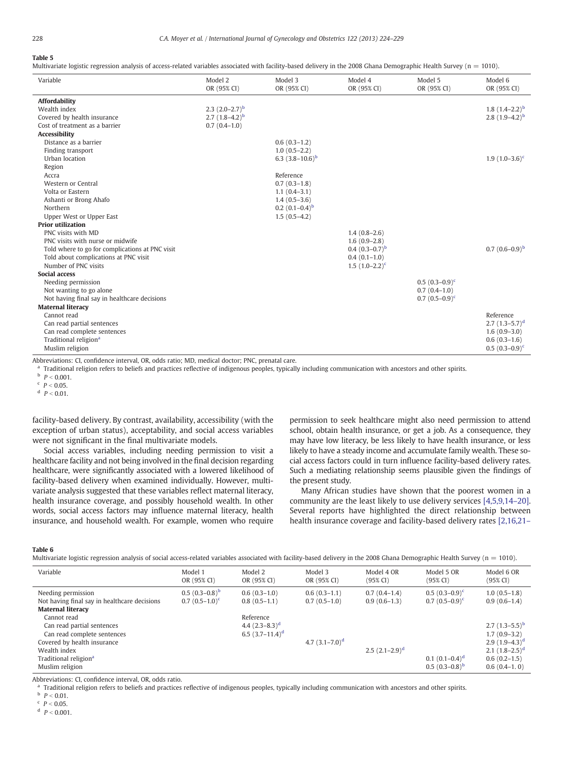# <span id="page-4-0"></span>Table 5

Multivariate logistic regression analysis of access-related variables associated with facility-based delivery in the 2008 Ghana Demographic Health Survey ( $n = 1010$ ).

| Variable                                                                                   | Model 2<br>OR (95% CI) | Model 3<br>OR (95% CI) | Model 4<br>OR (95% CI) | Model 5<br>OR (95% CI) | Model 6<br>OR (95% CI) |
|--------------------------------------------------------------------------------------------|------------------------|------------------------|------------------------|------------------------|------------------------|
| <b>Affordability</b>                                                                       |                        |                        |                        |                        |                        |
| Wealth index                                                                               | 2.3 $(2.0-2.7)^b$      |                        |                        |                        | 1.8 $(1.4-2.2)^b$      |
| Covered by health insurance                                                                | 2.7 $(1.8-4.2)^{b}$    |                        |                        |                        | 2.8 $(1.9-4.2)^{b}$    |
| Cost of treatment as a barrier                                                             | $0.7(0.4-1.0)$         |                        |                        |                        |                        |
| <b>Accessibility</b>                                                                       |                        |                        |                        |                        |                        |
| Distance as a barrier                                                                      |                        | $0.6(0.3-1.2)$         |                        |                        |                        |
| Finding transport                                                                          |                        | $1.0(0.5-2.2)$         |                        |                        |                        |
| Urban location                                                                             |                        | 6.3 $(3.8-10.6)^b$     |                        |                        | 1.9 $(1.0-3.6)^c$      |
| Region                                                                                     |                        |                        |                        |                        |                        |
| Accra                                                                                      |                        | Reference              |                        |                        |                        |
| Western or Central                                                                         |                        | $0.7(0.3-1.8)$         |                        |                        |                        |
| Volta or Eastern                                                                           |                        | $1.1(0.4-3.1)$         |                        |                        |                        |
| Ashanti or Brong Ahafo                                                                     |                        | $1.4(0.5-3.6)$         |                        |                        |                        |
| Northern                                                                                   |                        | $0.2(0.1-0.4)^{b}$     |                        |                        |                        |
| Upper West or Upper East                                                                   |                        | $1.5(0.5-4.2)$         |                        |                        |                        |
| <b>Prior utilization</b>                                                                   |                        |                        |                        |                        |                        |
| PNC visits with MD                                                                         |                        |                        | $1.4(0.8-2.6)$         |                        |                        |
| PNC visits with nurse or midwife                                                           |                        |                        | $1.6(0.9-2.8)$         |                        |                        |
| Told where to go for complications at PNC visit                                            |                        |                        | $0.4(0.3-0.7)^b$       |                        | $0.7(0.6-0.9)^{b}$     |
| Told about complications at PNC visit                                                      |                        |                        | $0.4(0.1-1.0)$         |                        |                        |
| Number of PNC visits                                                                       |                        |                        | $1.5(1.0-2.2)^c$       |                        |                        |
| <b>Social access</b>                                                                       |                        |                        |                        |                        |                        |
| Needing permission                                                                         |                        |                        |                        | $0.5(0.3-0.9)^c$       |                        |
| Not wanting to go alone                                                                    |                        |                        |                        | $0.7(0.4-1.0)$         |                        |
| Not having final say in healthcare decisions                                               |                        |                        |                        | $0.7(0.5-0.9)^c$       |                        |
| <b>Maternal literacy</b>                                                                   |                        |                        |                        |                        |                        |
| Cannot read                                                                                |                        |                        |                        |                        | Reference              |
| Can read partial sentences                                                                 |                        |                        |                        |                        | 2.7 $(1.3-5.7)^d$      |
| Can read complete sentences                                                                |                        |                        |                        |                        | $1.6(0.9-3.0)$         |
| Traditional religion <sup>a</sup>                                                          |                        |                        |                        |                        | $0.6(0.3-1.6)$         |
| Muslim religion                                                                            |                        |                        |                        |                        | $0.5(0.3-0.9)^c$       |
| shkroviational CL confidence internal OB odde ratios MD modical doctors DNC propostal care |                        |                        |                        |                        |                        |

Abbreviations: CI, confidence interval, OR, odds ratio; MD, medical doctor; PNC, prenatal care.

a Traditional religion refers to beliefs and practices reflective of indigenous peoples, typically including communication with ancestors and other spirits.

 $b$   $p < 0.001$ .

 $P < 0.05$ .

 $p < 0.01$ .

facility-based delivery. By contrast, availability, accessibility (with the exception of urban status), acceptability, and social access variables were not significant in the final multivariate models.

Social access variables, including needing permission to visit a healthcare facility and not being involved in the final decision regarding healthcare, were significantly associated with a lowered likelihood of facility-based delivery when examined individually. However, multivariate analysis suggested that these variables reflect maternal literacy, health insurance coverage, and possibly household wealth. In other words, social access factors may influence maternal literacy, health insurance, and household wealth. For example, women who require

permission to seek healthcare might also need permission to attend school, obtain health insurance, or get a job. As a consequence, they may have low literacy, be less likely to have health insurance, or less likely to have a steady income and accumulate family wealth. These social access factors could in turn influence facility-based delivery rates. Such a mediating relationship seems plausible given the findings of the present study.

Many African studies have shown that the poorest women in a community are the least likely to use delivery services [\[4,5,9,14](#page-5-0)–20]. Several reports have highlighted the direct relationship between health insurance coverage and facility-based delivery rates [\[2,16,21](#page-5-0)–

#### Table 6

Multivariate logistic regression analysis of social access-related variables associated with facility-based delivery in the 2008 Ghana Demographic Health Survey (n = 1010).

| Variable                                                           | Model 1<br>OR (95% CI)                 | Model 2<br>OR (95% CI)           | Model 3<br>OR (95% CI)           | Model 4 OR<br>(95% CI)           | Model 5 OR<br>$(95\% \text{ CI})$    | Model 6 OR<br>$(95\% \text{ CI})$ |
|--------------------------------------------------------------------|----------------------------------------|----------------------------------|----------------------------------|----------------------------------|--------------------------------------|-----------------------------------|
| Needing permission<br>Not having final say in healthcare decisions | $0.5(0.3-0.8)^{b}$<br>$0.7(0.5-1.0)^c$ | $0.6(0.3-1.0)$<br>$0.8(0.5-1.1)$ | $0.6(0.3-1.1)$<br>$0.7(0.5-1.0)$ | $0.7(0.4-1.4)$<br>$0.9(0.6-1.3)$ | $0.5(0.3-0.9)^c$<br>$0.7(0.5-0.9)^c$ | $1.0(0.5-1.8)$<br>$0.9(0.6-1.4)$  |
| <b>Maternal literacy</b>                                           |                                        |                                  |                                  |                                  |                                      |                                   |
| Cannot read                                                        |                                        | Reference                        |                                  |                                  |                                      |                                   |
| Can read partial sentences                                         |                                        | 4.4 $(2.3-8.3)^d$                |                                  |                                  |                                      | 2.7 $(1.3-5.5)^b$                 |
| Can read complete sentences                                        |                                        | 6.5 $(3.7-11.4)^d$               |                                  |                                  |                                      | $1.7(0.9-3.2)$                    |
| Covered by health insurance                                        |                                        |                                  | 4.7 $(3.1 - 7.0)^d$              |                                  |                                      | $2.9(1.9-4.3)^d$                  |
| Wealth index                                                       |                                        |                                  |                                  | $2.5(2.1-2.9)^d$                 |                                      | 2.1 $(1.8-2.5)^d$                 |
| Traditional religion <sup>a</sup>                                  |                                        |                                  |                                  |                                  | $0.1(0.1-0.4)^d$                     | $0.6(0.2-1.5)$                    |
| Muslim religion                                                    |                                        |                                  |                                  |                                  | $0.5(0.3-0.8)^{b}$                   | $0.6(0.4-1.0)$                    |

Abbreviations: CI, confidence interval, OR, odds ratio.

<sup>1</sup> Traditional religion refers to beliefs and practices reflective of indigenous peoples, typically including communication with ancestors and other spirits.

 $p < 0.01$ .

 $P < 0.05$ .

<sup>d</sup>  $P < 0.001$ .